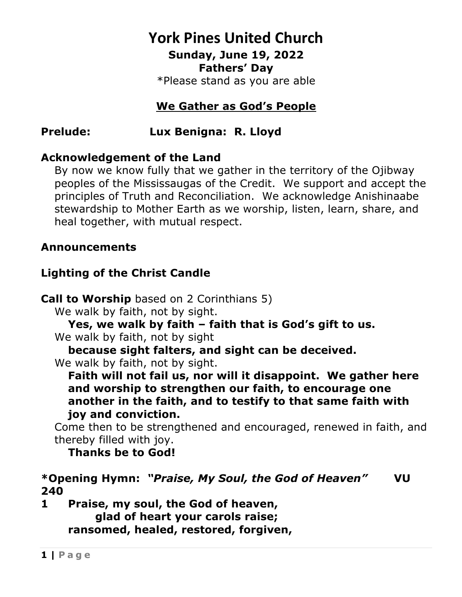# **York Pines United Church Sunday, June 19, 2022**

**Fathers' Day**

\*Please stand as you are able

### **We Gather as God's People**

**Prelude: Lux Benigna: R. Lloyd**

### **Acknowledgement of the Land**

By now we know fully that we gather in the territory of the Ojibway peoples of the Mississaugas of the Credit. We support and accept the principles of Truth and Reconciliation. We acknowledge Anishinaabe stewardship to Mother Earth as we worship, listen, learn, share, and heal together, with mutual respect.

### **Announcements**

### **Lighting of the Christ Candle**

**Call to Worship** based on 2 Corinthians 5)

We walk by faith, not by sight.

**Yes, we walk by faith – faith that is God's gift to us.**

We walk by faith, not by sight

**because sight falters, and sight can be deceived.**

We walk by faith, not by sight.

**Faith will not fail us, nor will it disappoint. We gather here and worship to strengthen our faith, to encourage one another in the faith, and to testify to that same faith with joy and conviction.**

Come then to be strengthened and encouraged, renewed in faith, and thereby filled with joy.

**Thanks be to God!**

**\*Opening Hymn:** *"Praise, My Soul, the God of Heaven"* **VU 240**

**1 Praise, my soul, the God of heaven, glad of heart your carols raise; ransomed, healed, restored, forgiven,**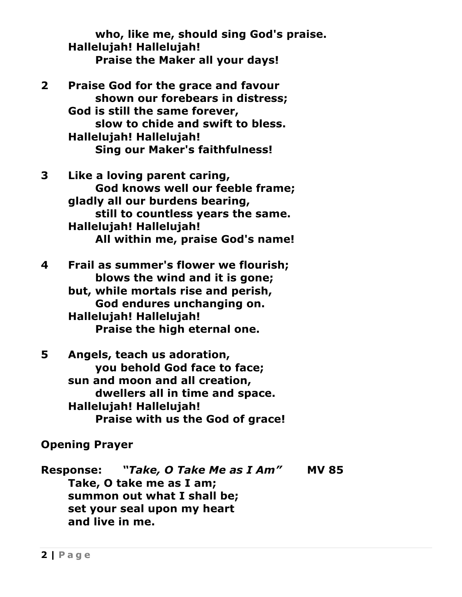**who, like me, should sing God's praise. Hallelujah! Hallelujah! Praise the Maker all your days!**

- **2 Praise God for the grace and favour shown our forebears in distress; God is still the same forever, slow to chide and swift to bless. Hallelujah! Hallelujah! Sing our Maker's faithfulness!**
- **3 Like a loving parent caring, God knows well our feeble frame; gladly all our burdens bearing, still to countless years the same. Hallelujah! Hallelujah! All within me, praise God's name!**

**4 Frail as summer's flower we flourish; blows the wind and it is gone; but, while mortals rise and perish, God endures unchanging on. Hallelujah! Hallelujah! Praise the high eternal one.**

**5 Angels, teach us adoration, you behold God face to face; sun and moon and all creation, dwellers all in time and space. Hallelujah! Hallelujah! Praise with us the God of grace!**

**Opening Prayer**

**Response:** *"Take, O Take Me as I Am"* **MV 85 Take, O take me as I am; summon out what I shall be; set your seal upon my heart and live in me.**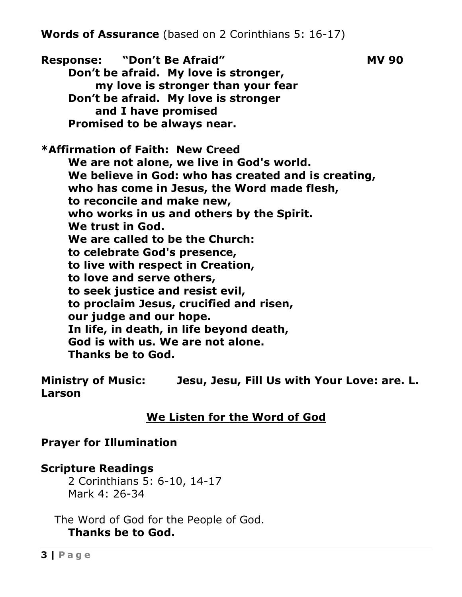Response: "Don't Be Afraid" MV 90 **Don't be afraid. My love is stronger, my love is stronger than your fear Don't be afraid. My love is stronger and I have promised Promised to be always near. \*Affirmation of Faith: New Creed We are not alone, we live in God's world. We believe in God: who has created and is creating, who has come in Jesus, the Word made flesh, to reconcile and make new, who works in us and others by the Spirit. We trust in God. We are called to be the Church: to celebrate God's presence, to live with respect in Creation, to love and serve others, to seek justice and resist evil, to proclaim Jesus, crucified and risen, our judge and our hope. In life, in death, in life beyond death, God is with us. We are not alone. Thanks be to God.**

**Ministry of Music: Jesu, Jesu, Fill Us with Your Love: are. L. Larson**

### **We Listen for the Word of God**

### **Prayer for Illumination**

### **Scripture Readings**

2 Corinthians 5: 6-10, 14-17 Mark 4: 26-34

The Word of God for the People of God. **Thanks be to God.**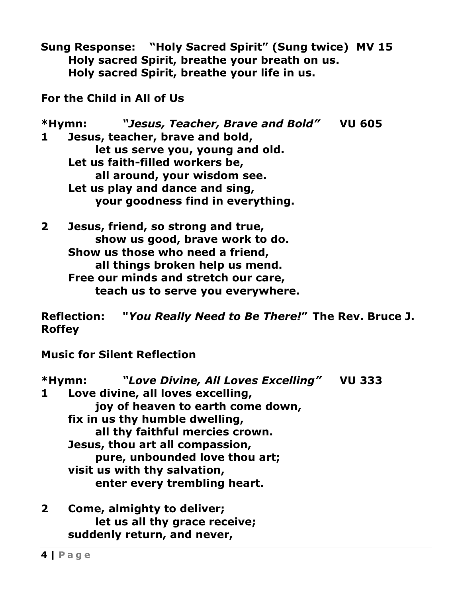**Sung Response: "Holy Sacred Spirit" (Sung twice) MV 15 Holy sacred Spirit, breathe your breath on us. Holy sacred Spirit, breathe your life in us.**

**For the Child in All of Us**

**\*Hymn:** *"Jesus, Teacher, Brave and Bold"* **VU 605 1 Jesus, teacher, brave and bold, let us serve you, young and old. Let us faith-filled workers be, all around, your wisdom see. Let us play and dance and sing, your goodness find in everything.**

**2 Jesus, friend, so strong and true, show us good, brave work to do. Show us those who need a friend, all things broken help us mend. Free our minds and stretch our care, teach us to serve you everywhere.**

**Reflection: "***You Really Need to Be There!***" The Rev. Bruce J. Roffey**

**Music for Silent Reflection**

**\*Hymn:** *"Love Divine, All Loves Excelling"* **VU 333 1 Love divine, all loves excelling, joy of heaven to earth come down, fix in us thy humble dwelling, all thy faithful mercies crown. Jesus, thou art all compassion, pure, unbounded love thou art; visit us with thy salvation, enter every trembling heart.**

**2 Come, almighty to deliver; let us all thy grace receive; suddenly return, and never,**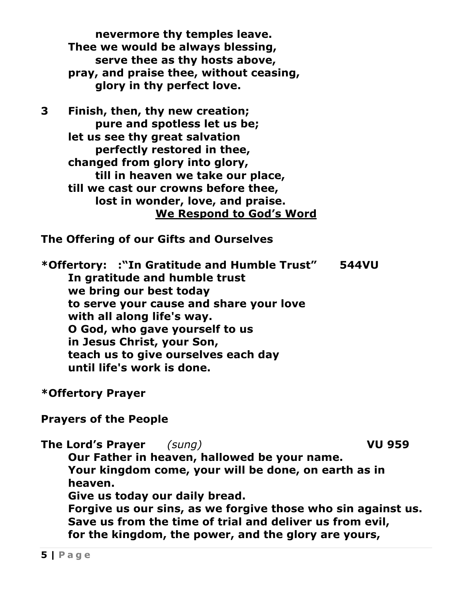**nevermore thy temples leave. Thee we would be always blessing, serve thee as thy hosts above, pray, and praise thee, without ceasing, glory in thy perfect love.**

**3 Finish, then, thy new creation; pure and spotless let us be; let us see thy great salvation perfectly restored in thee, changed from glory into glory, till in heaven we take our place, till we cast our crowns before thee, lost in wonder, love, and praise. We Respond to God's Word**

**The Offering of our Gifts and Ourselves**

**\*Offertory: :"In Gratitude and Humble Trust" 544VU In gratitude and humble trust we bring our best today to serve your cause and share your love with all along life's way. O God, who gave yourself to us in Jesus Christ, your Son, teach us to give ourselves each day until life's work is done.**

**\*Offertory Prayer** 

**Prayers of the People**

**The Lord's Prayer** *(sung)* **VU 959 Our Father in heaven, hallowed be your name. Your kingdom come, your will be done, on earth as in heaven. Give us today our daily bread. Forgive us our sins, as we forgive those who sin against us. Save us from the time of trial and deliver us from evil, for the kingdom, the power, and the glory are yours,**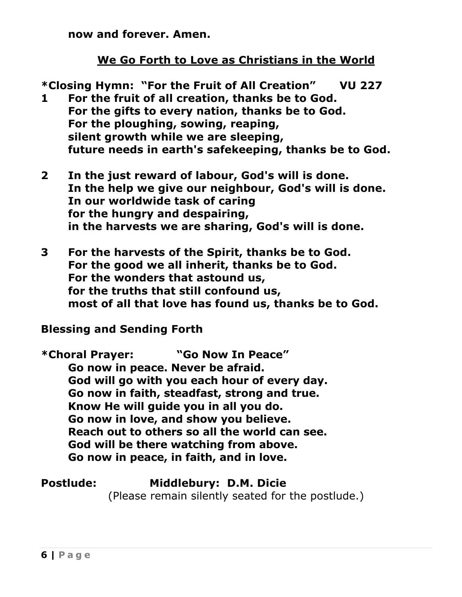**now and forever. Amen.**

### **We Go Forth to Love as Christians in the World**

**\*Closing Hymn: "For the Fruit of All Creation" VU 227 1 For the fruit of all creation, thanks be to God. For the gifts to every nation, thanks be to God. For the ploughing, sowing, reaping, silent growth while we are sleeping, future needs in earth's safekeeping, thanks be to God.**

- **2 In the just reward of labour, God's will is done. In the help we give our neighbour, God's will is done. In our worldwide task of caring for the hungry and despairing, in the harvests we are sharing, God's will is done.**
- **3 For the harvests of the Spirit, thanks be to God. For the good we all inherit, thanks be to God. For the wonders that astound us, for the truths that still confound us, most of all that love has found us, thanks be to God.**

### **Blessing and Sending Forth**

**\*Choral Prayer: "Go Now In Peace" Go now in peace. Never be afraid. God will go with you each hour of every day. Go now in faith, steadfast, strong and true. Know He will guide you in all you do. Go now in love, and show you believe. Reach out to others so all the world can see. God will be there watching from above. Go now in peace, in faith, and in love.**

### **Postlude: Middlebury: D.M. Dicie**

(Please remain silently seated for the postlude.)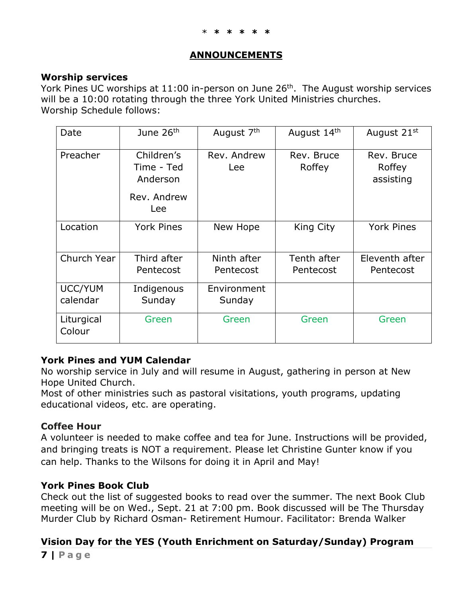#### **ANNOUNCEMENTS**

#### **Worship services**

York Pines UC worships at  $11:00$  in-person on June  $26<sup>th</sup>$ . The August worship services will be a 10:00 rotating through the three York United Ministries churches. Worship Schedule follows:

| Date                       | June 26 <sup>th</sup>                                      | August 7 <sup>th</sup>   | August 14th              | August 21 <sup>st</sup>           |
|----------------------------|------------------------------------------------------------|--------------------------|--------------------------|-----------------------------------|
| Preacher                   | Children's<br>Time - Ted<br>Anderson<br>Rev. Andrew<br>Lee | Rev. Andrew<br>Lee       | Rev. Bruce<br>Roffey     | Rev. Bruce<br>Roffey<br>assisting |
| Location                   | <b>York Pines</b>                                          | New Hope                 | King City                | <b>York Pines</b>                 |
| Church Year                | Third after<br>Pentecost                                   | Ninth after<br>Pentecost | Tenth after<br>Pentecost | Eleventh after<br>Pentecost       |
| <b>UCC/YUM</b><br>calendar | Indigenous<br>Sunday                                       | Environment<br>Sunday    |                          |                                   |
| Liturgical<br>Colour       | Green                                                      | Green                    | Green                    | Green                             |

#### **York Pines and YUM Calendar**

No worship service in July and will resume in August, gathering in person at New Hope United Church.

Most of other ministries such as pastoral visitations, youth programs, updating educational videos, etc. are operating.

#### **Coffee Hour**

A volunteer is needed to make coffee and tea for June. Instructions will be provided, and bringing treats is NOT a requirement. Please let Christine Gunter know if you can help. Thanks to the Wilsons for doing it in April and May!

#### **York Pines Book Club**

Check out the list of suggested books to read over the summer. The next Book Club meeting will be on Wed., Sept. 21 at 7:00 pm. Book discussed will be The Thursday Murder Club by Richard Osman- Retirement Humour. Facilitator: Brenda Walker

#### **Vision Day for the YES (Youth Enrichment on Saturday/Sunday) Program**

**7 | Page**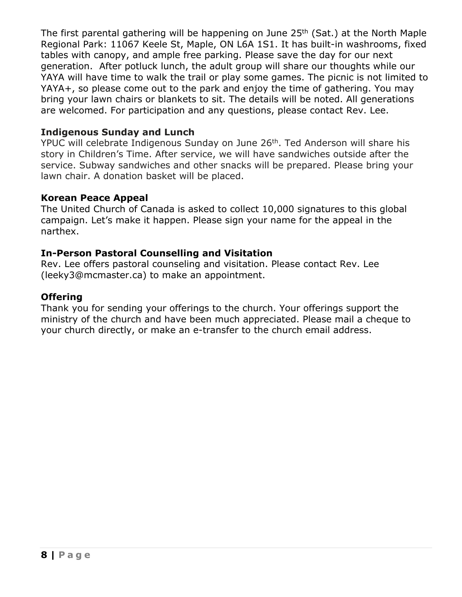The first parental gathering will be happening on June 25<sup>th</sup> (Sat.) at the North Maple Regional Park: 11067 Keele St, Maple, ON L6A 1S1. It has built-in washrooms, fixed tables with canopy, and ample free parking. Please save the day for our next generation. After potluck lunch, the adult group will share our thoughts while our YAYA will have time to walk the trail or play some games. The picnic is not limited to YAYA+, so please come out to the park and enjoy the time of gathering. You may bring your lawn chairs or blankets to sit. The details will be noted. All generations are welcomed. For participation and any questions, please contact Rev. Lee.

#### **Indigenous Sunday and Lunch**

YPUC will celebrate Indigenous Sunday on June 26<sup>th</sup>. Ted Anderson will share his story in Children's Time. After service, we will have sandwiches outside after the service. Subway sandwiches and other snacks will be prepared. Please bring your lawn chair. A donation basket will be placed.

#### **Korean Peace Appeal**

The United Church of Canada is asked to collect 10,000 signatures to this global campaign. Let's make it happen. Please sign your name for the appeal in the narthex.

#### **In-Person Pastoral Counselling and Visitation**

Rev. Lee offers pastoral counseling and visitation. Please contact Rev. Lee (leeky3@mcmaster.ca) to make an appointment.

#### **Offering**

Thank you for sending your offerings to the church. Your offerings support the ministry of the church and have been much appreciated. Please mail a cheque to your church directly, or make an e-transfer to the church email address.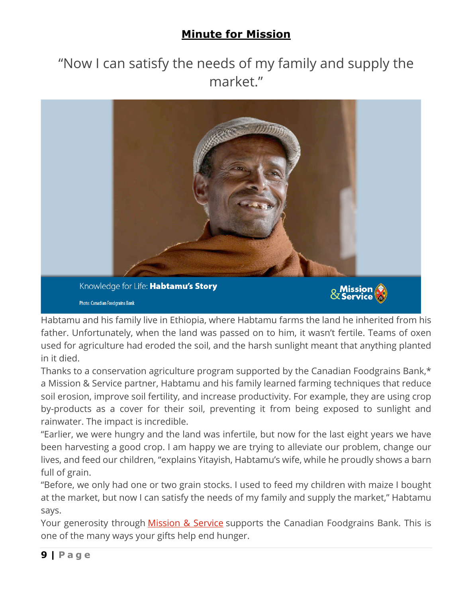## **Minute for Mission**

# "Now I can satisfy the needs of my family and supply the market."



Habtamu and his family live in Ethiopia, where Habtamu farms the land he inherited from his father. Unfortunately, when the land was passed on to him, it wasn't fertile. Teams of oxen used for agriculture had eroded the soil, and the harsh sunlight meant that anything planted in it died.

Thanks to a conservation agriculture program supported by the Canadian Foodgrains Bank,\* a Mission & Service partner, Habtamu and his family learned farming techniques that reduce soil erosion, improve soil fertility, and increase productivity. For example, they are using crop by-products as a cover for their soil, preventing it from being exposed to sunlight and rainwater. The impact is incredible.

"Earlier, we were hungry and the land was infertile, but now for the last eight years we have been harvesting a good crop. I am happy we are trying to alleviate our problem, change our lives, and feed our children, "explains Yitayish, Habtamu's wife, while he proudly shows a barn full of grain.

"Before, we only had one or two grain stocks. I used to feed my children with maize I bought at the market, but now I can satisfy the needs of my family and supply the market," Habtamu says.

Your generosity through Mission & Service supports the Canadian Foodgrains Bank. This is one of the many ways your gifts help end hunger.